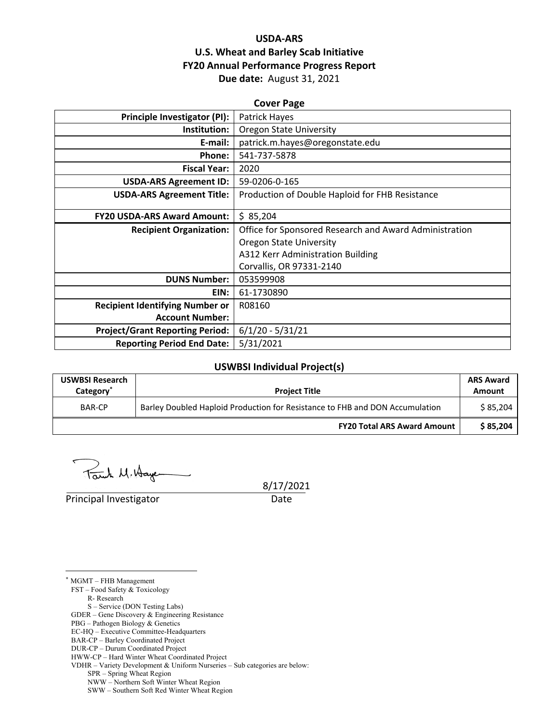## **USDA‐ARS U.S. Wheat and Barley Scab Initiative FY20 Annual Performance Progress Report Due date:** August 31, 2021

| <b>Cover Page</b>                      |                                                        |  |  |  |
|----------------------------------------|--------------------------------------------------------|--|--|--|
| Principle Investigator (PI):           | Patrick Hayes                                          |  |  |  |
| Institution:                           | <b>Oregon State University</b>                         |  |  |  |
| E-mail:                                | patrick.m.hayes@oregonstate.edu                        |  |  |  |
| Phone:                                 | 541-737-5878                                           |  |  |  |
| <b>Fiscal Year:</b>                    | 2020                                                   |  |  |  |
| <b>USDA-ARS Agreement ID:</b>          | 59-0206-0-165                                          |  |  |  |
| <b>USDA-ARS Agreement Title:</b>       | Production of Double Haploid for FHB Resistance        |  |  |  |
|                                        |                                                        |  |  |  |
| <b>FY20 USDA-ARS Award Amount:</b>     | \$85,204                                               |  |  |  |
|                                        |                                                        |  |  |  |
| <b>Recipient Organization:</b>         | Office for Sponsored Research and Award Administration |  |  |  |
|                                        | <b>Oregon State University</b>                         |  |  |  |
|                                        | A312 Kerr Administration Building                      |  |  |  |
|                                        | Corvallis, OR 97331-2140                               |  |  |  |
| <b>DUNS Number:</b>                    | 053599908                                              |  |  |  |
| EIN:                                   | 61-1730890                                             |  |  |  |
| <b>Recipient Identifying Number or</b> | R08160                                                 |  |  |  |
| <b>Account Number:</b>                 |                                                        |  |  |  |
| <b>Project/Grant Reporting Period:</b> | $6/1/20 - 5/31/21$                                     |  |  |  |
| <b>Reporting Period End Date:</b>      | 5/31/2021                                              |  |  |  |

## **USWBSI Individual Project(s)**

| <b>USWBSI Research</b><br>Category <sup>®</sup> | <b>Project Title</b>                                                         | <b>ARS Award</b><br>Amount |
|-------------------------------------------------|------------------------------------------------------------------------------|----------------------------|
| BAR-CP                                          | Barley Doubled Haploid Production for Resistance to FHB and DON Accumulation | \$85.204                   |
|                                                 | <b>FY20 Total ARS Award Amount</b>                                           | \$85.204                   |

Touch M. Hayer

Principal Investigator Date

8/17/2021

FST – Food Safety & Toxicology

- R- Research
- S Service (DON Testing Labs)

- PBG Pathogen Biology & Genetics
- EC-HQ Executive Committee-Headquarters
- BAR-CP Barley Coordinated Project

SPR – Spring Wheat Region

<sup>&</sup>lt;u>.</u> \* MGMT – FHB Management

GDER – Gene Discovery & Engineering Resistance

DUR-CP – Durum Coordinated Project

HWW-CP – Hard Winter Wheat Coordinated Project VDHR – Variety Development & Uniform Nurseries – Sub categories are below:

NWW – Northern Soft Winter Wheat Region

SWW – Southern Soft Red Winter Wheat Region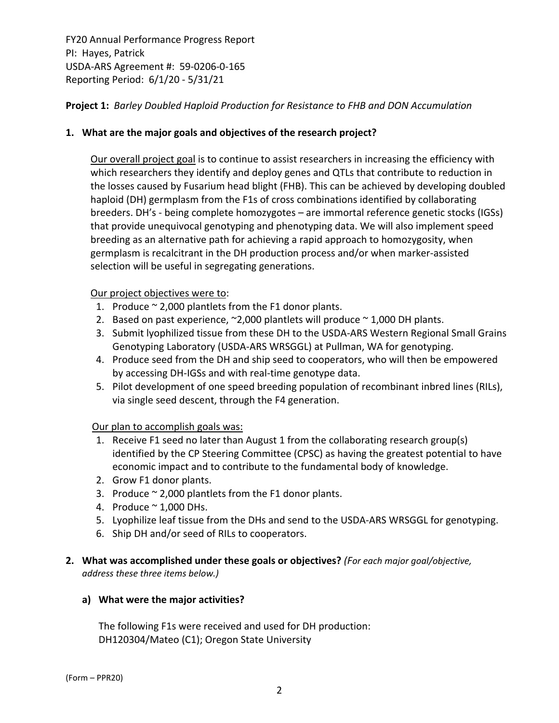**Project 1:** *Barley Doubled Haploid Production for Resistance to FHB and DON Accumulation*

## **1. What are the major goals and objectives of the research project?**

Our overall project goal is to continue to assist researchers in increasing the efficiency with which researchers they identify and deploy genes and QTLs that contribute to reduction in the losses caused by Fusarium head blight (FHB). This can be achieved by developing doubled haploid (DH) germplasm from the F1s of cross combinations identified by collaborating breeders. DH's ‐ being complete homozygotes – are immortal reference genetic stocks (IGSs) that provide unequivocal genotyping and phenotyping data. We will also implement speed breeding as an alternative path for achieving a rapid approach to homozygosity, when germplasm is recalcitrant in the DH production process and/or when marker‐assisted selection will be useful in segregating generations.

## Our project objectives were to:

- 1. Produce  $\sim$  2,000 plantlets from the F1 donor plants.
- 2. Based on past experience,  $\approx$  2,000 plantlets will produce  $\approx$  1,000 DH plants.
- 3. Submit lyophilized tissue from these DH to the USDA‐ARS Western Regional Small Grains Genotyping Laboratory (USDA‐ARS WRSGGL) at Pullman, WA for genotyping.
- 4. Produce seed from the DH and ship seed to cooperators, who will then be empowered by accessing DH-IGSs and with real-time genotype data.
- 5. Pilot development of one speed breeding population of recombinant inbred lines (RILs), via single seed descent, through the F4 generation.

## Our plan to accomplish goals was:

- 1. Receive F1 seed no later than August 1 from the collaborating research group(s) identified by the CP Steering Committee (CPSC) as having the greatest potential to have economic impact and to contribute to the fundamental body of knowledge.
- 2. Grow F1 donor plants.
- 3. Produce  $\sim$  2,000 plantlets from the F1 donor plants.
- 4. Produce  $\sim$  1,000 DHs.
- 5. Lyophilize leaf tissue from the DHs and send to the USDA-ARS WRSGGL for genotyping.
- 6. Ship DH and/or seed of RILs to cooperators.
- **2. What was accomplished under these goals or objectives?** *(For each major goal/objective, address these three items below.)*

## **a) What were the major activities?**

The following F1s were received and used for DH production: DH120304/Mateo (C1); Oregon State University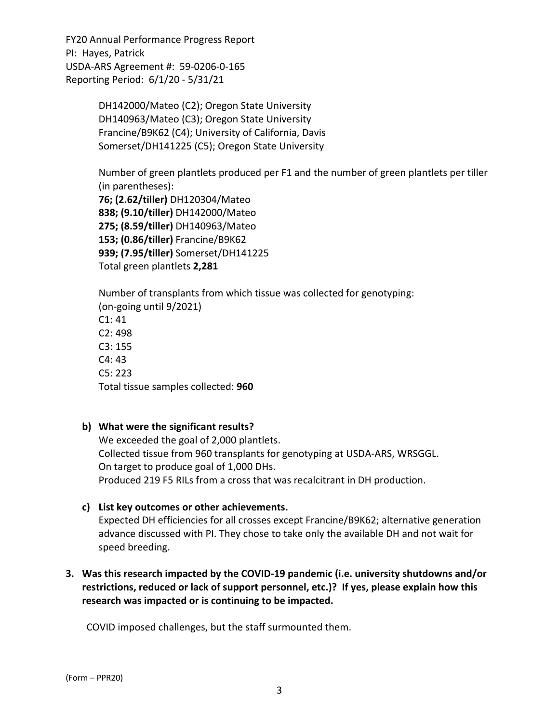> DH142000/Mateo (C2); Oregon State University  DH140963/Mateo (C3); Oregon State University  Francine/B9K62 (C4); University of California, Davis Somerset/DH141225 (C5); Oregon State University

Number of green plantlets produced per F1 and the number of green plantlets per tiller (in parentheses): 

**76; (2.62/tiller)** DH120304/Mateo  **838; (9.10/tiller)** DH142000/Mateo **275; (8.59/tiller)** DH140963/Mateo **153; (0.86/tiller)** Francine/B9K62 **939; (7.95/tiller)** Somerset/DH141225 Total green plantlets **2,281** 

Number of transplants from which tissue was collected for genotyping: (on‐going until 9/2021) C1: 41 C2: 498 C3: 155 C4: 43 C5: 223 Total tissue samples collected: **960**

## **b) What were the significant results?**

We exceeded the goal of 2,000 plantlets. Collected tissue from 960 transplants for genotyping at USDA‐ARS, WRSGGL. On target to produce goal of 1,000 DHs. Produced 219 F5 RILs from a cross that was recalcitrant in DH production.

## **c) List key outcomes or other achievements.**

Expected DH efficiencies for all crosses except Francine/B9K62; alternative generation advance discussed with PI. They chose to take only the available DH and not wait for speed breeding.

## **3. Was this research impacted by the COVID‐19 pandemic (i.e. university shutdowns and/or restrictions, reduced or lack of support personnel, etc.)? If yes, please explain how this research was impacted or is continuing to be impacted.**

COVID imposed challenges, but the staff surmounted them.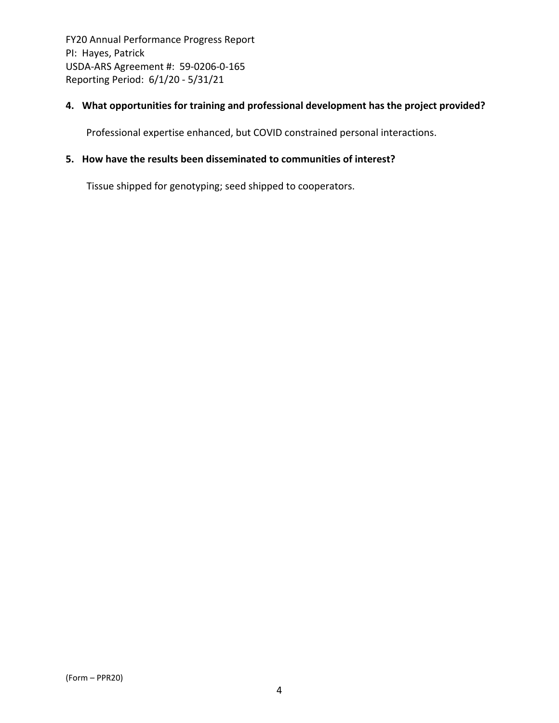## **4. What opportunities for training and professional development has the project provided?**

Professional expertise enhanced, but COVID constrained personal interactions.

## **5. How have the results been disseminated to communities of interest?**

Tissue shipped for genotyping; seed shipped to cooperators.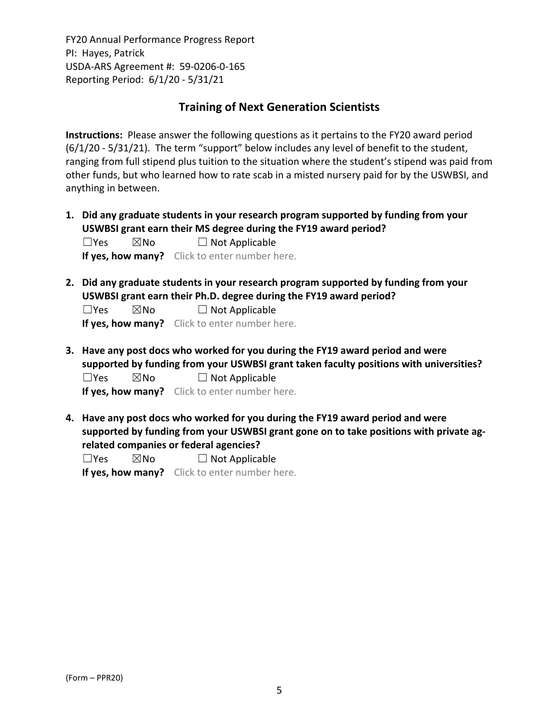## **Training of Next Generation Scientists**

**Instructions:** Please answer the following questions as it pertains to the FY20 award period (6/1/20 ‐ 5/31/21). The term "support" below includes any level of benefit to the student, ranging from full stipend plus tuition to the situation where the student's stipend was paid from other funds, but who learned how to rate scab in a misted nursery paid for by the USWBSI, and anything in between.

**1. Did any graduate students in your research program supported by funding from your USWBSI grant earn their MS degree during the FY19 award period?**  $\Box$ Yes  $\boxtimes$ No  $\Box$  Not Applicable

**If yes, how many?** Click to enter number here.

**2. Did any graduate students in your research program supported by funding from your USWBSI grant earn their Ph.D. degree during the FY19 award period?**

 $\Box$ Yes  $\boxtimes$ No  $\Box$  Not Applicable

**If yes, how many?** Click to enter number here.

**3. Have any post docs who worked for you during the FY19 award period and were supported by funding from your USWBSI grant taken faculty positions with universities?**  $\Box$ Yes  $\boxtimes$ No  $\Box$  Not Applicable

**If yes, how many?** Click to enter number here.

**4. Have any post docs who worked for you during the FY19 award period and were supported by funding from your USWBSI grant gone on to take positions with private ag‐ related companies or federal agencies?**

 $\square$ Yes  $\square$ No  $\square$  Not Applicable

**If yes, how many?** Click to enter number here.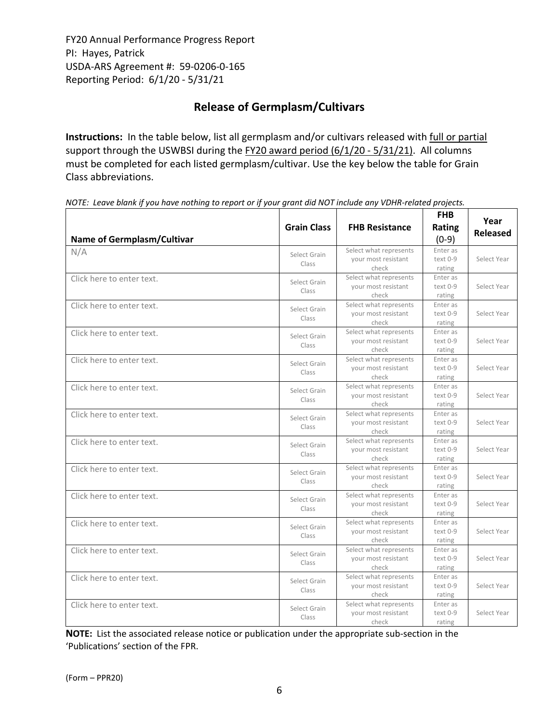# **Release of Germplasm/Cultivars**

**Instructions:** In the table below, list all germplasm and/or cultivars released with full or partial support through the USWBSI during the FY20 award period (6/1/20 - 5/31/21). All columns must be completed for each listed germplasm/cultivar. Use the key below the table for Grain Class abbreviations. 

| <b>Name of Germplasm/Cultivar</b> | <b>Grain Class</b>    | <b>FHB Resistance</b>                                  | <b>FHB</b><br>Rating<br>$(0-9)$ | Year<br><b>Released</b> |
|-----------------------------------|-----------------------|--------------------------------------------------------|---------------------------------|-------------------------|
| N/A                               | Select Grain<br>Class | Select what represents<br>your most resistant<br>check | Enter as<br>text 0-9<br>rating  | Select Year             |
| Click here to enter text.         | Select Grain<br>Class | Select what represents<br>your most resistant<br>check | Enter as<br>text 0-9<br>rating  | Select Year             |
| Click here to enter text.         | Select Grain<br>Class | Select what represents<br>your most resistant<br>check | Enter as<br>text 0-9<br>rating  | Select Year             |
| Click here to enter text.         | Select Grain<br>Class | Select what represents<br>your most resistant<br>check | Enter as<br>text 0-9<br>rating  | Select Year             |
| Click here to enter text.         | Select Grain<br>Class | Select what represents<br>your most resistant<br>check | Enter as<br>text 0-9<br>rating  | Select Year             |
| Click here to enter text.         | Select Grain<br>Class | Select what represents<br>your most resistant<br>check | Enter as<br>text 0-9<br>rating  | Select Year             |
| Click here to enter text.         | Select Grain<br>Class | Select what represents<br>your most resistant<br>check | Enter as<br>text 0-9<br>rating  | Select Year             |
| Click here to enter text.         | Select Grain<br>Class | Select what represents<br>your most resistant<br>check | Enter as<br>text 0-9<br>rating  | Select Year             |
| Click here to enter text.         | Select Grain<br>Class | Select what represents<br>your most resistant<br>check | Enter as<br>text 0-9<br>rating  | Select Year             |
| Click here to enter text.         | Select Grain<br>Class | Select what represents<br>your most resistant<br>check | Enter as<br>text 0-9<br>rating  | Select Year             |
| Click here to enter text.         | Select Grain<br>Class | Select what represents<br>your most resistant<br>check | Enter as<br>text 0-9<br>rating  | Select Year             |
| Click here to enter text.         | Select Grain<br>Class | Select what represents<br>your most resistant<br>check | Enter as<br>text 0-9<br>rating  | Select Year             |
| Click here to enter text.         | Select Grain<br>Class | Select what represents<br>your most resistant<br>check | Enter as<br>text 0-9<br>rating  | Select Year             |
| Click here to enter text.         | Select Grain<br>Class | Select what represents<br>your most resistant<br>check | Enter as<br>text 0-9<br>rating  | Select Year             |

NOTE: Leave blank if you have nothing to report or if your grant did NOT include any VDHR-related projects.

**NOTE:** List the associated release notice or publication under the appropriate sub-section in the 'Publications' section of the FPR.